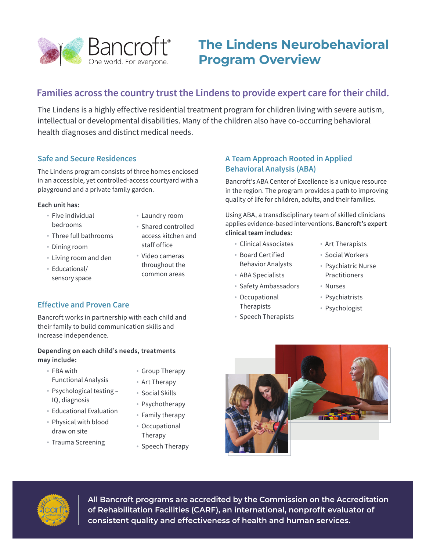

# **The Lindens Neurobehavioral Program Overview**

## **Families across the country trust the Lindens to provide expert care for their child.**

The Lindens is a highly effective residential treatment program for children living with severe autism, intellectual or developmental disabilities. Many of the children also have co-occurring behavioral health diagnoses and distinct medical needs.

#### **Safe and Secure Residences**

The Lindens program consists of three homes enclosed in an accessible, yet controlled-access courtyard with a playground and a private family garden.

#### **Each unit has:**

- Five individual bedrooms
- Laundry room
- Three full bathrooms
- Dining room
- Living room and den
- Educational/ sensory space
- Shared controlled access kitchen and staff office
- Video cameras throughout the common areas

### **Effective and Proven Care**

Bancroft works in partnership with each child and their family to build communication skills and increase independence.

#### **Depending on each child's needs, treatments may include:**

- FBA with
- Functional Analysis
- Psychological testing IQ, diagnosis
- Educational Evaluation
- Physical with blood draw on site
- Trauma Screening
- Group Therapy
- Art Therapy
- Social Skills
- Psychotherapy
- Family therapy
- Occupational Therapy
- Speech Therapy

#### **A Team Approach Rooted in Applied Behavioral Analysis (ABA)**

Bancroft's ABA Center of Excellence is a unique resource in the region. The program provides a path to improving quality of life for children, adults, and their families.

Using ABA, a transdisciplinary team of skilled clinicians applies evidence-based interventions. **Bancroft's expert clinical team includes:**

- Clinical Associates
- Board Certified Behavior Analysts
- ABA Specialists
- Safety Ambassadors
- Occupational Therapists
- Speech Therapists
- Art Therapists
- Social Workers
- Psychiatric Nurse Practitioners
- Nurses
- Psychiatrists
- Psychologist





**All Bancroft programs are accredited by the Commission on the Accreditation of Rehabilitation Facilities (CARF), an international, nonprofit evaluator of consistent quality and effectiveness of health and human services.**